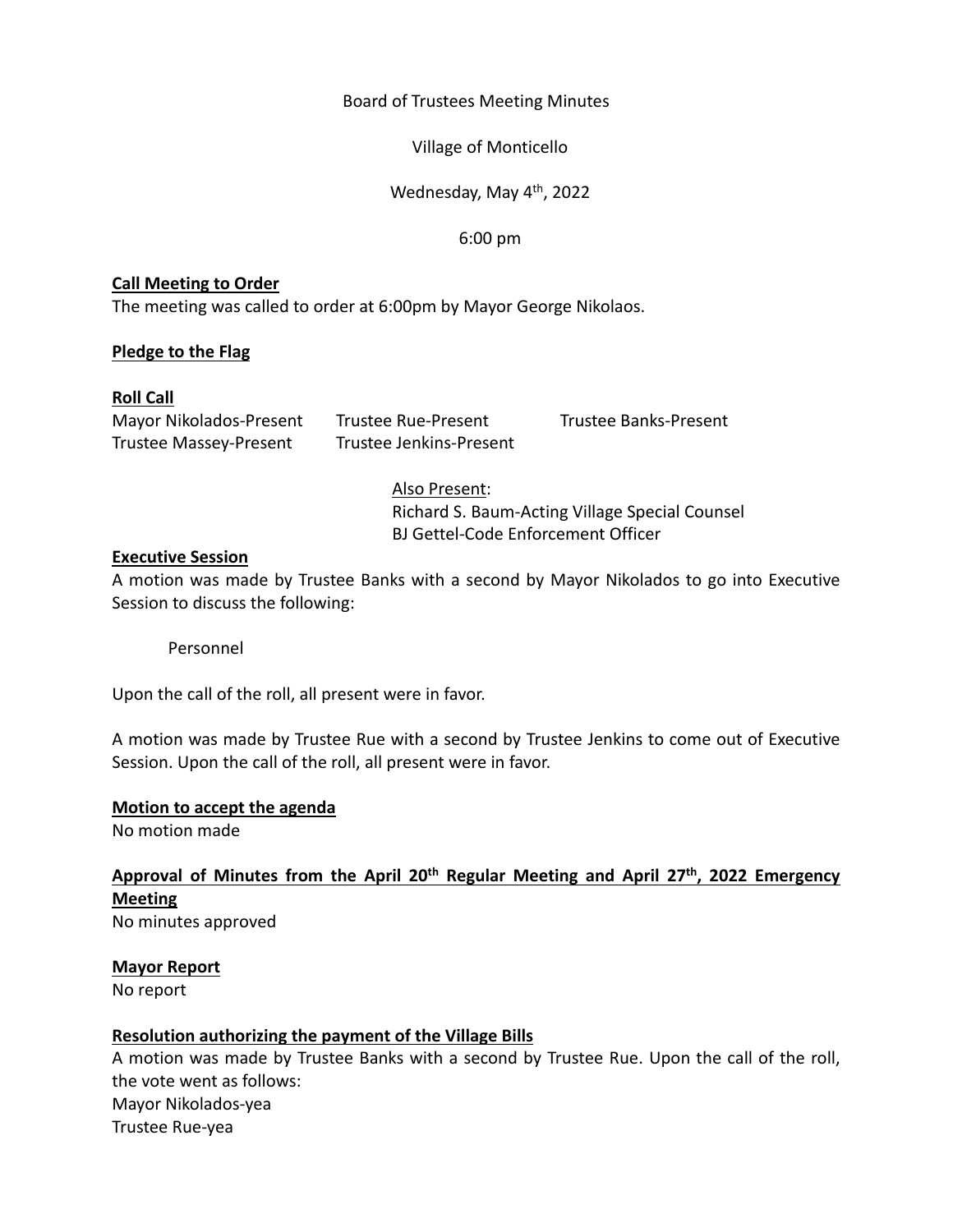#### Board of Trustees Meeting Minutes

Village of Monticello

Wednesday, May 4<sup>th</sup>, 2022

6:00 pm

## **Call Meeting to Order**

The meeting was called to order at 6:00pm by Mayor George Nikolaos.

# **Pledge to the Flag**

## **Roll Call**

Mayor Nikolados‐Present Trustee Rue‐Present Trustee Banks‐Present Trustee Massey‐Present Trustee Jenkins‐Present

# Also Present:

Richard S. Baum‐Acting Village Special Counsel BJ Gettel‐Code Enforcement Officer

## **Executive Session**

A motion was made by Trustee Banks with a second by Mayor Nikolados to go into Executive Session to discuss the following:

Personnel

Upon the call of the roll, all present were in favor.

A motion was made by Trustee Rue with a second by Trustee Jenkins to come out of Executive Session. Upon the call of the roll, all present were in favor.

## **Motion to accept the agenda**

No motion made

Approval of Minutes from the April 20<sup>th</sup> Regular Meeting and April 27<sup>th</sup>, 2022 Emergency **Meeting**  No minutes approved

**Mayor Report** 

No report

## **Resolution authorizing the payment of the Village Bills**

A motion was made by Trustee Banks with a second by Trustee Rue. Upon the call of the roll, the vote went as follows: Mayor Nikolados‐yea Trustee Rue‐yea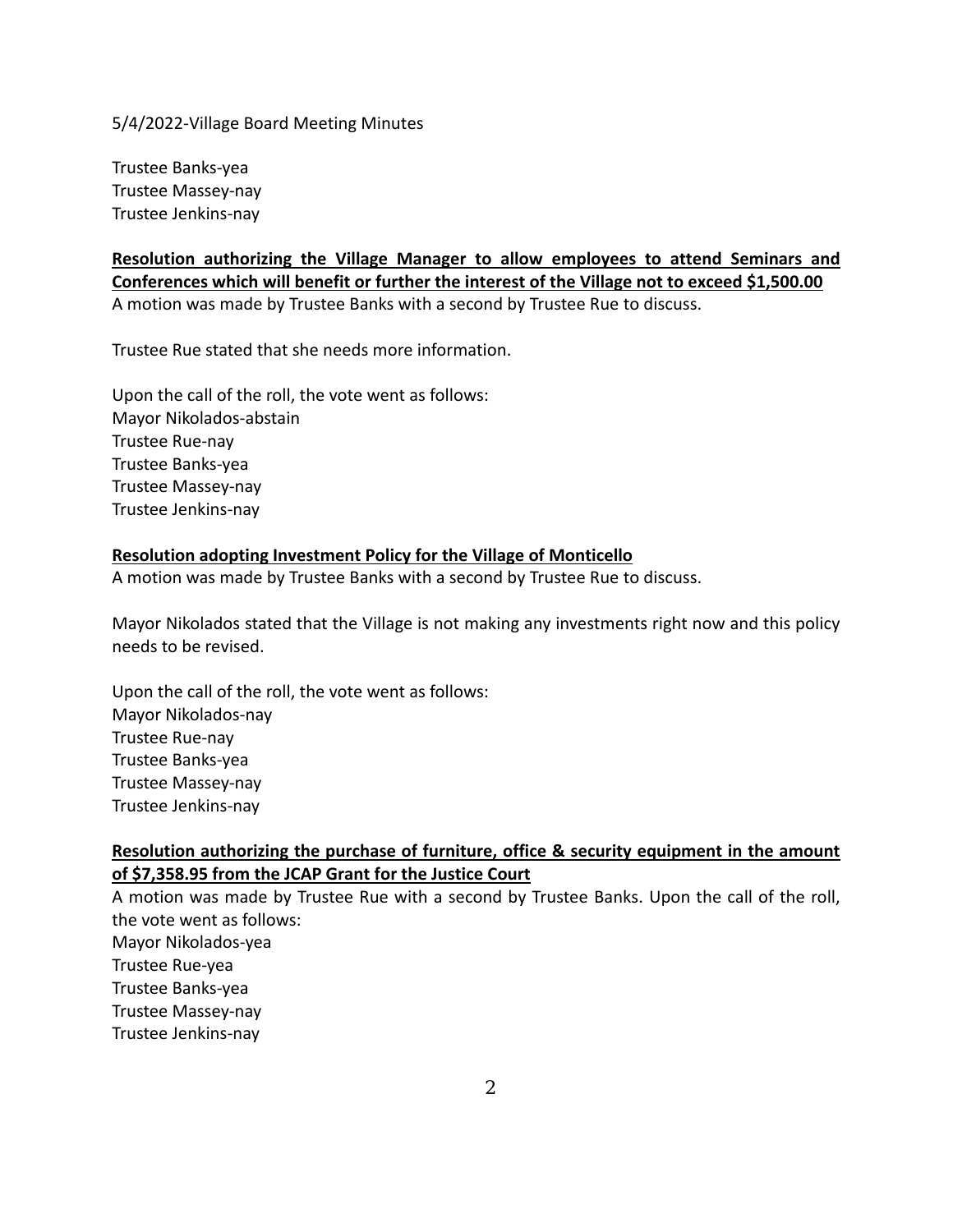Trustee Banks‐yea Trustee Massey‐nay Trustee Jenkins‐nay

**Resolution authorizing the Village Manager to allow employees to attend Seminars and Conferences which will benefit or further the interest of the Village not to exceed \$1,500.00**  A motion was made by Trustee Banks with a second by Trustee Rue to discuss.

Trustee Rue stated that she needs more information.

Upon the call of the roll, the vote went as follows: Mayor Nikolados‐abstain Trustee Rue‐nay Trustee Banks‐yea Trustee Massey‐nay Trustee Jenkins‐nay

#### **Resolution adopting Investment Policy for the Village of Monticello**

A motion was made by Trustee Banks with a second by Trustee Rue to discuss.

Mayor Nikolados stated that the Village is not making any investments right now and this policy needs to be revised.

Upon the call of the roll, the vote went as follows: Mayor Nikolados‐nay Trustee Rue‐nay Trustee Banks‐yea Trustee Massey‐nay Trustee Jenkins‐nay

## **Resolution authorizing the purchase of furniture, office & security equipment in the amount of \$7,358.95 from the JCAP Grant for the Justice Court**

A motion was made by Trustee Rue with a second by Trustee Banks. Upon the call of the roll, the vote went as follows: Mayor Nikolados‐yea Trustee Rue‐yea Trustee Banks‐yea Trustee Massey‐nay Trustee Jenkins‐nay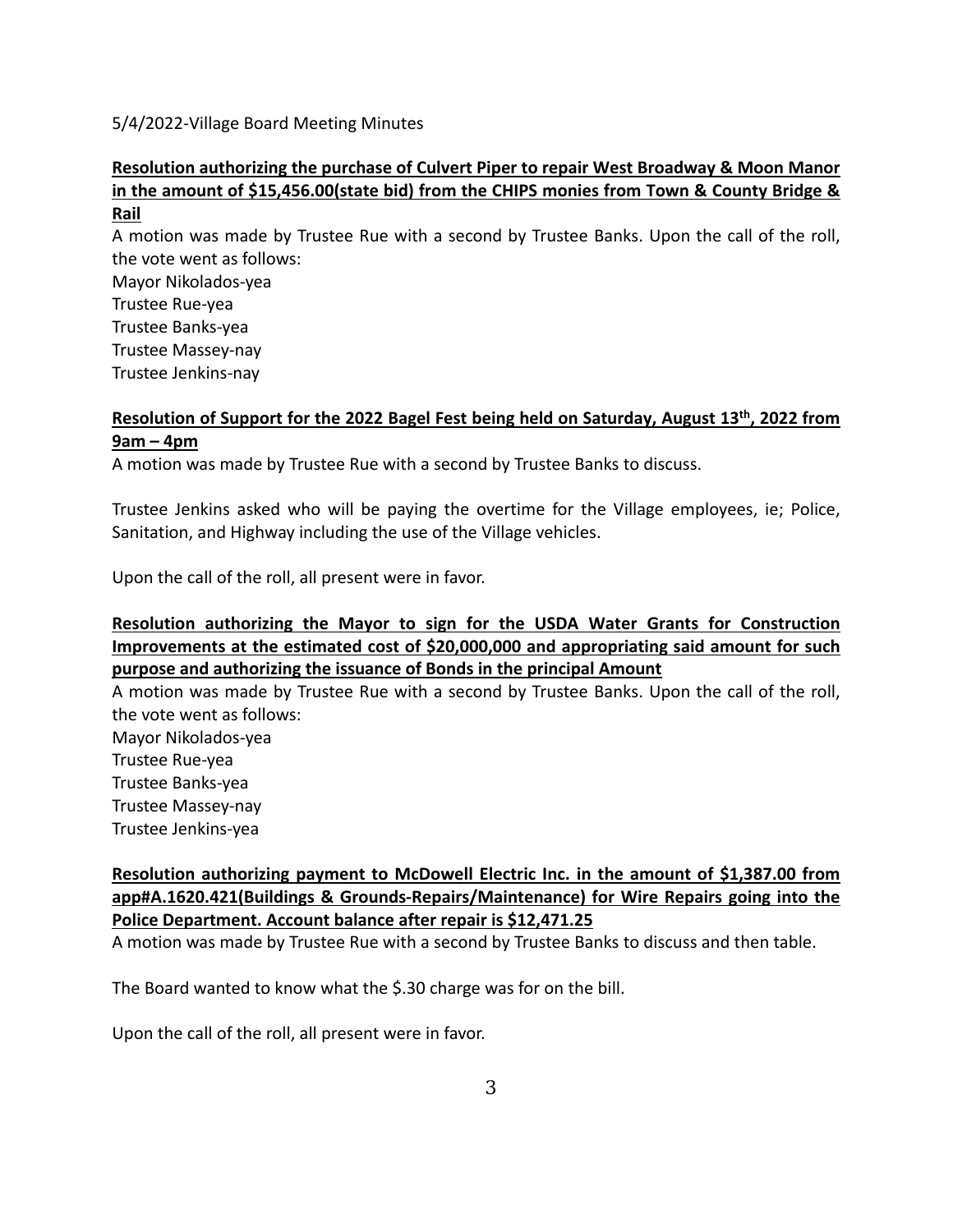# **Resolution authorizing the purchase of Culvert Piper to repair West Broadway & Moon Manor in the amount of \$15,456.00(state bid) from the CHIPS monies from Town & County Bridge & Rail**

A motion was made by Trustee Rue with a second by Trustee Banks. Upon the call of the roll, the vote went as follows:

Mayor Nikolados‐yea Trustee Rue‐yea Trustee Banks‐yea Trustee Massey‐nay Trustee Jenkins‐nay

# Resolution of Support for the 2022 Bagel Fest being held on Saturday, August 13<sup>th</sup>, 2022 from **9am – 4pm**

A motion was made by Trustee Rue with a second by Trustee Banks to discuss.

Trustee Jenkins asked who will be paying the overtime for the Village employees, ie; Police, Sanitation, and Highway including the use of the Village vehicles.

Upon the call of the roll, all present were in favor.

# **Resolution authorizing the Mayor to sign for the USDA Water Grants for Construction Improvements at the estimated cost of \$20,000,000 and appropriating said amount for such purpose and authorizing the issuance of Bonds in the principal Amount**

A motion was made by Trustee Rue with a second by Trustee Banks. Upon the call of the roll, the vote went as follows:

Mayor Nikolados‐yea

Trustee Rue‐yea

Trustee Banks‐yea

Trustee Massey‐nay

Trustee Jenkins‐yea

# **Resolution authorizing payment to McDowell Electric Inc. in the amount of \$1,387.00 from app#A.1620.421(Buildings & Grounds‐Repairs/Maintenance) for Wire Repairs going into the Police Department. Account balance after repair is \$12,471.25**

A motion was made by Trustee Rue with a second by Trustee Banks to discuss and then table.

The Board wanted to know what the \$.30 charge was for on the bill.

Upon the call of the roll, all present were in favor.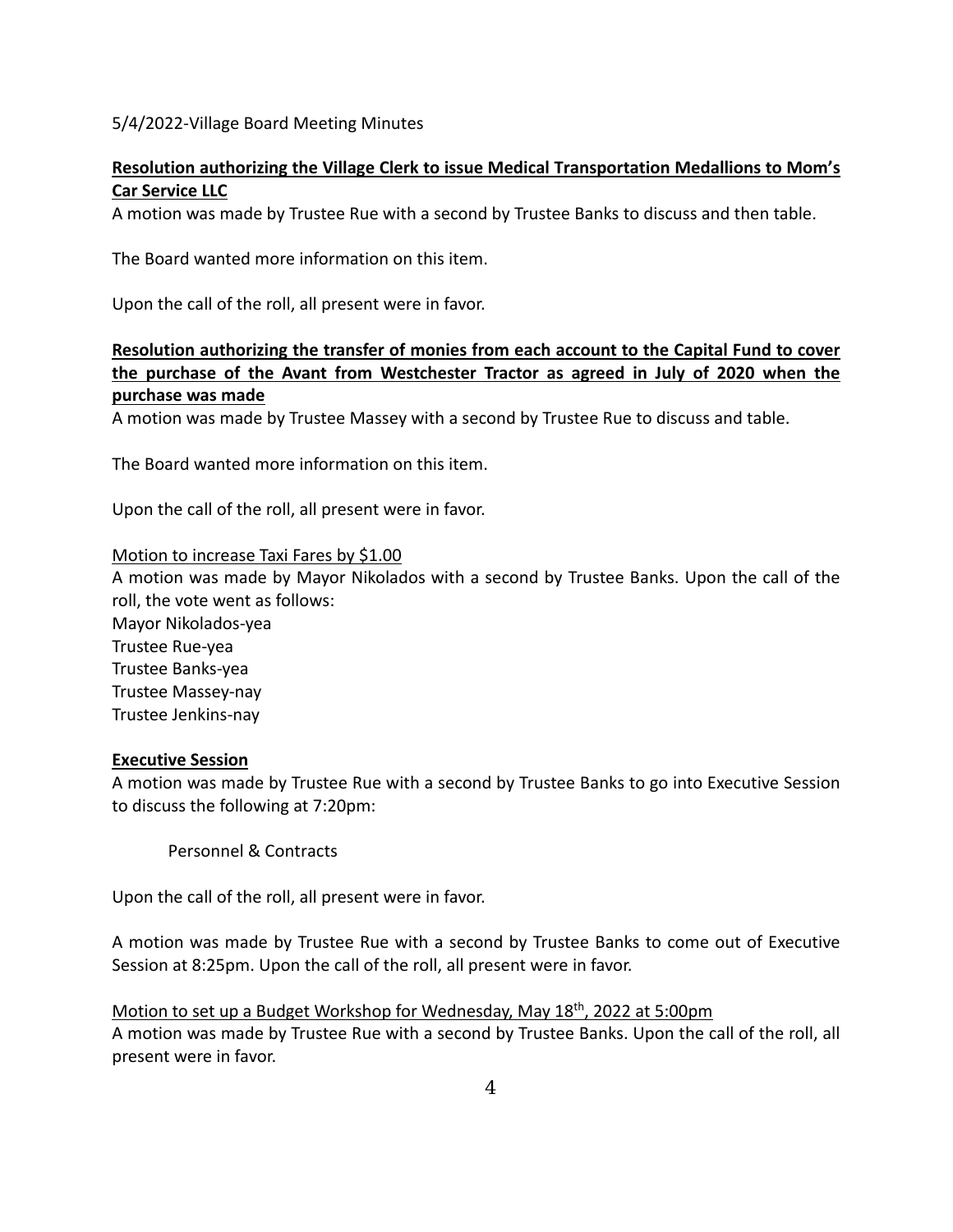# **Resolution authorizing the Village Clerk to issue Medical Transportation Medallions to Mom's Car Service LLC**

A motion was made by Trustee Rue with a second by Trustee Banks to discuss and then table.

The Board wanted more information on this item.

Upon the call of the roll, all present were in favor.

# **Resolution authorizing the transfer of monies from each account to the Capital Fund to cover the purchase of the Avant from Westchester Tractor as agreed in July of 2020 when the purchase was made**

A motion was made by Trustee Massey with a second by Trustee Rue to discuss and table.

The Board wanted more information on this item.

Upon the call of the roll, all present were in favor.

#### Motion to increase Taxi Fares by \$1.00

A motion was made by Mayor Nikolados with a second by Trustee Banks. Upon the call of the roll, the vote went as follows:

Mayor Nikolados‐yea Trustee Rue‐yea Trustee Banks‐yea Trustee Massey‐nay Trustee Jenkins‐nay

#### **Executive Session**

A motion was made by Trustee Rue with a second by Trustee Banks to go into Executive Session to discuss the following at 7:20pm:

Personnel & Contracts

Upon the call of the roll, all present were in favor.

A motion was made by Trustee Rue with a second by Trustee Banks to come out of Executive Session at 8:25pm. Upon the call of the roll, all present were in favor.

Motion to set up a Budget Workshop for Wednesday, May 18<sup>th</sup>, 2022 at 5:00pm A motion was made by Trustee Rue with a second by Trustee Banks. Upon the call of the roll, all present were in favor.